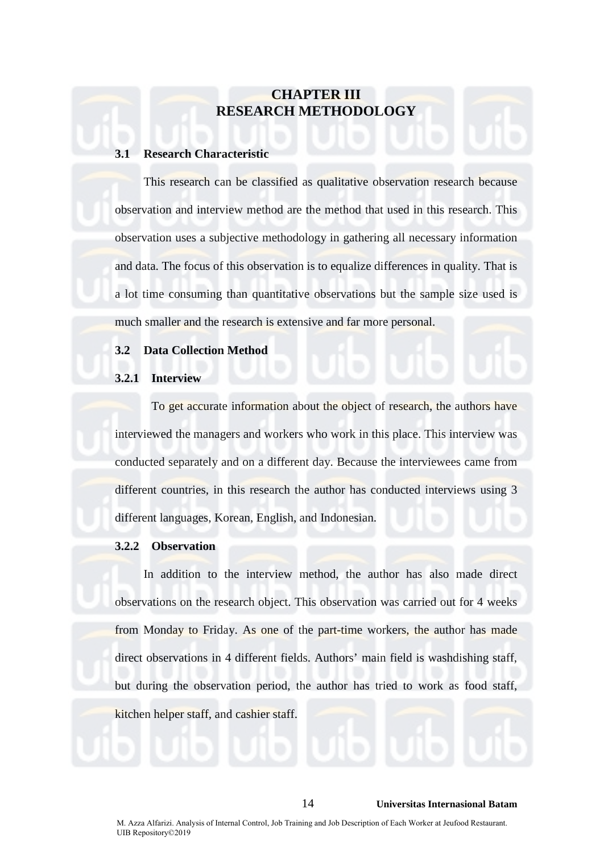# **CHAPTER III RESEARCH METHODOLOGY**

### **3.1 Research Characteristic**

This research can be classified as qualitative observation research because observation and interview method are the method that used in this research. This observation uses a subjective methodology in gathering all necessary information and data. The focus of this observation is to equalize differences in quality. That is a lot time consuming than quantitative observations but the sample size used is much smaller and the research is extensive and far more personal.

# **3.2 Data Collection Method**

# **3.2.1 Interview**

To get accurate information about the object of research, the authors have interviewed the managers and workers who work in this place. This interview was conducted separately and on a different day. Because the interviewees came from different countries, in this research the author has conducted interviews using 3 different languages, Korean, English, and Indonesian.

#### **3.2.2 Observation**

In addition to the interview method, the author has also made direct observations on the research object. This observation was carried out for 4 weeks from Monday to Friday. As one of the part-time workers, the author has made direct observations in 4 different fields. Authors' main field is washdishing staff, but during the observation period, the author has tried to work as food staff,

kitchen helper staff, and cashier staff.

#### 14 **Universitas Internasional Batam**

M. Azza Alfarizi. Analysis of Internal Control, Job Training and Job Description of Each Worker at Jeufood Restaurant. UIB Repository©2019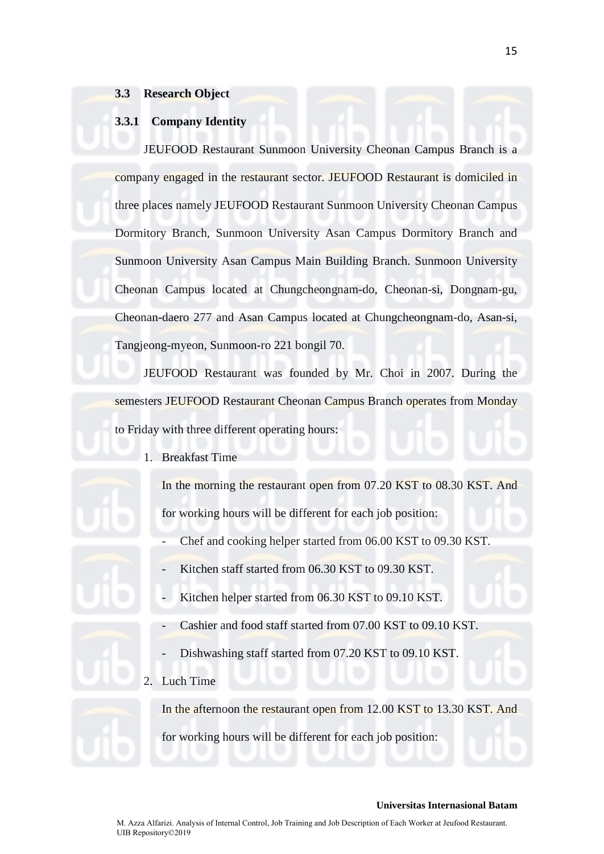# **3.3 Research Object**

# **3.3.1 Company Identity**

JEUFOOD Restaurant Sunmoon University Cheonan Campus Branch is a company engaged in the restaurant sector. JEUFOOD Restaurant is domiciled in three places namely JEUFOOD Restaurant Sunmoon University Cheonan Campus Dormitory Branch, Sunmoon University Asan Campus Dormitory Branch and Sunmoon University Asan Campus Main Building Branch. Sunmoon University Cheonan Campus located at Chungcheongnam-do, Cheonan-si, Dongnam-gu, Cheonan-daero 277 and Asan Campus located at Chungcheongnam-do, Asan-si, Tangjeong-myeon, Sunmoon-ro 221 bongil 70.

JEUFOOD Restaurant was founded by Mr. Choi in 2007. During the semesters JEUFOOD Restaurant Cheonan Campus Branch operates from Monday to Friday with three different operating hours:

1. Breakfast Time

In the morning the restaurant open from 07.20 KST to 08.30 KST. And for working hours will be different for each job position:

- Chef and cooking helper started from 06.00 KST to 09.30 KST.
- Kitchen staff started from 06.30 KST to 09.30 KST.
- Kitchen helper started from 06.30 KST to 09.10 KST.
- Cashier and food staff started from 07.00 KST to 09.10 KST.
- Dishwashing staff started from 07.20 KST to 09.10 KST.
- 2. Luch Time

In the afternoon the restaurant open from 12.00 KST to 13.30 KST. And for working hours will be different for each job position: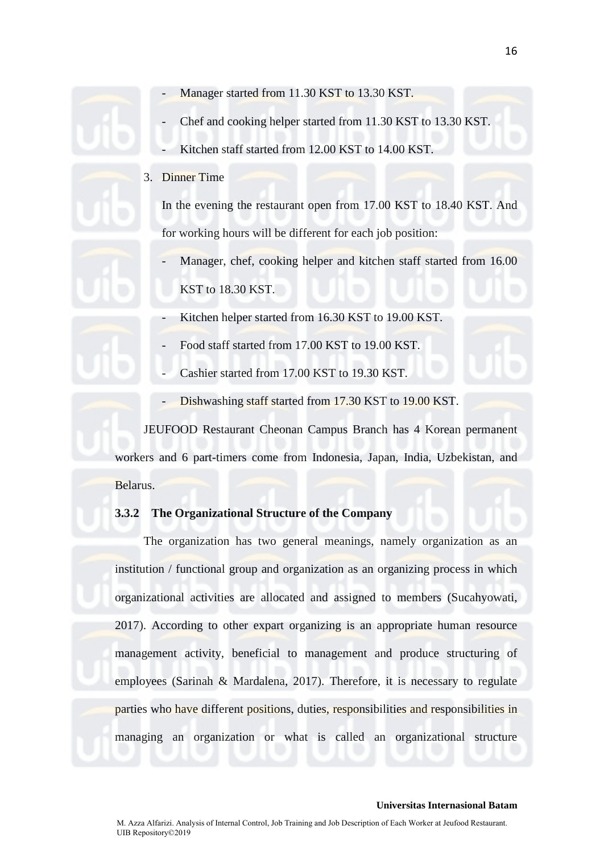- Manager started from 11.30 KST to 13.30 KST.
- Chef and cooking helper started from 11.30 KST to 13.30 KST.
- Kitchen staff started from 12.00 KST to 14.00 KST.
- 3. Dinner Time

In the evening the restaurant open from 17.00 KST to 18.40 KST. And for working hours will be different for each job position:

- Manager, chef, cooking helper and kitchen staff started from 16.00 KST to 18.30 KST.
- Kitchen helper started from 16.30 KST to 19.00 KST.
- Food staff started from 17.00 KST to 19.00 KST.
- Cashier started from 17.00 KST to 19.30 KST.
- Dishwashing staff started from 17.30 KST to 19.00 KST.

JEUFOOD Restaurant Cheonan Campus Branch has 4 Korean permanent workers and 6 part-timers come from Indonesia, Japan, India, Uzbekistan, and Belarus.

### **3.3.2 The Organizational Structure of the Company**

The organization has two general meanings, namely organization as an institution / functional group and organization as an organizing process in which organizational activities are allocated and assigned to members (Sucahyowati, 2017). According to other expart organizing is an appropriate human resource management activity, beneficial to management and produce structuring of employees (Sarinah & Mardalena, 2017). Therefore, it is necessary to regulate parties who have different positions, duties, responsibilities and responsibilities in managing an organization or what is called an organizational structure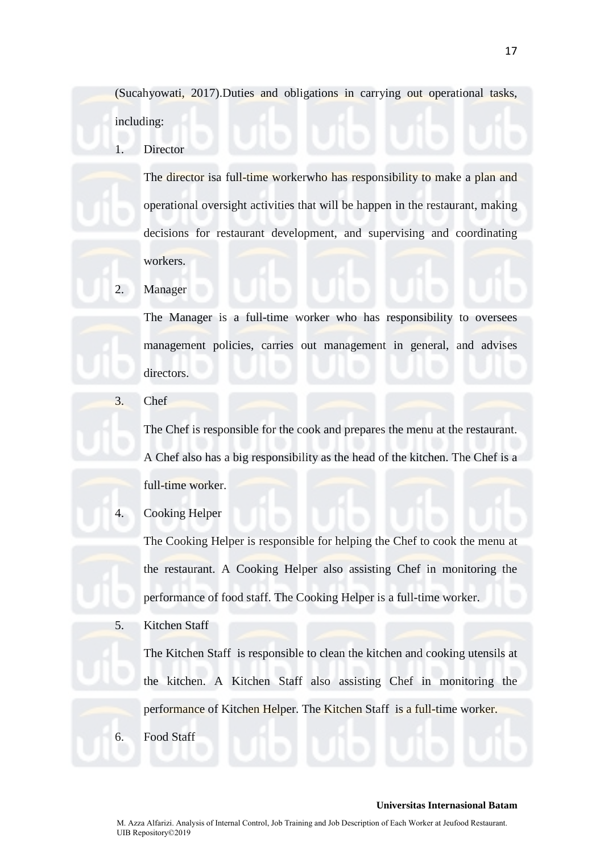(Sucahyowati, 2017).Duties and obligations in carrying out operational tasks, including:

Director

The director isa full-time workerwho has responsibility to make a plan and operational oversight activities that will be happen in the restaurant, making decisions for restaurant development, and supervising and coordinating workers.

2. Manager

The Manager is a full-time worker who has responsibility to oversees management policies, carries out management in general, and advises directors.

3. Chef

The Chef is responsible for the cook and prepares the menu at the restaurant. A Chef also has a big responsibility as the head of the kitchen. The Chef is a full-time worker.

4. Cooking Helper

The Cooking Helper is responsible for helping the Chef to cook the menu at the restaurant. A Cooking Helper also assisting Chef in monitoring the performance of food staff. The Cooking Helper is a full-time worker.

5. Kitchen Staff

The Kitchen Staff is responsible to clean the kitchen and cooking utensils at the kitchen. A Kitchen Staff also assisting Chef in monitoring the performance of Kitchen Helper. The Kitchen Staff is a full-time worker. 6. Food Staff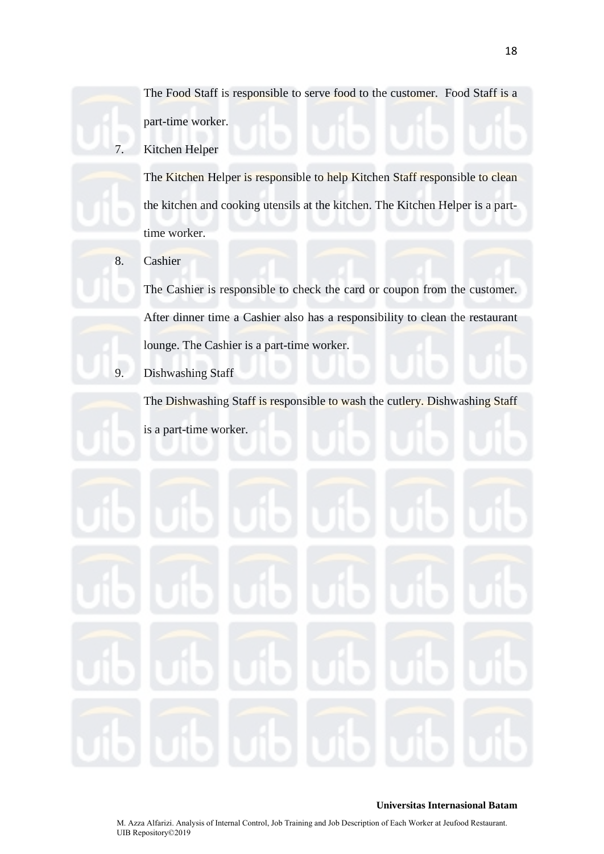7. Kitchen Helper

The Kitchen Helper is responsible to help Kitchen Staff responsible to clean the kitchen and cooking utensils at the kitchen. The Kitchen Helper is a parttime worker.

8. Cashier

The Cashier is responsible to check the card or coupon from the customer. After dinner time a Cashier also has a responsibility to clean the restaurant lounge. The Cashier is a part-time worker.

9. Dishwashing Staff

The Dishwashing Staff is responsible to wash the cutlery. Dishwashing Staff is a part-time worker.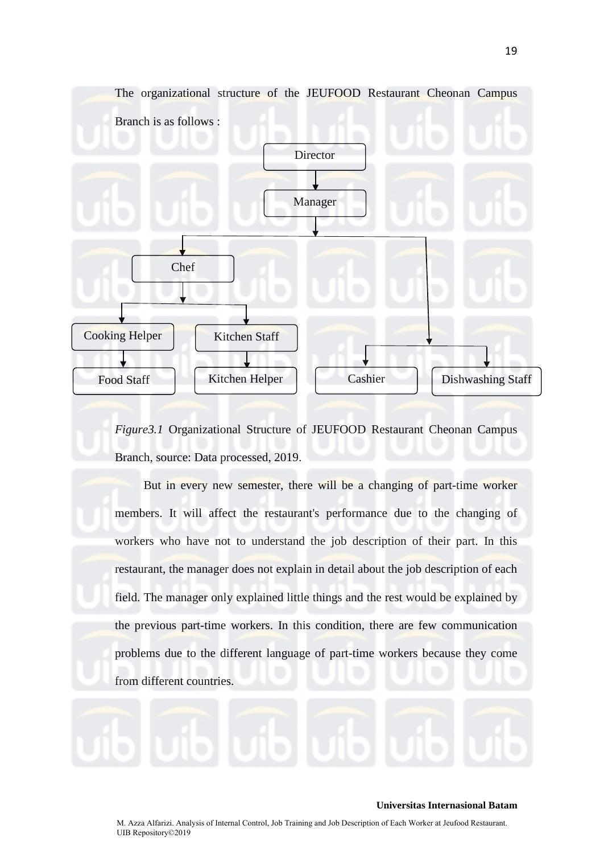

*Figure3.1* Organizational Structure of JEUFOOD Restaurant Cheonan Campus Branch, source: Data processed, 2019.

But in every new semester, there will be a changing of part-time worker members. It will affect the restaurant's performance due to the changing of workers who have not to understand the job description of their part. In this restaurant, the manager does not explain in detail about the job description of each field. The manager only explained little things and the rest would be explained by the previous part-time workers. In this condition, there are few communication problems due to the different language of part-time workers because they come from different countries.



#### **Universitas Internasional Batam**

M. Azza Alfarizi. Analysis of Internal Control, Job Training and Job Description of Each Worker at Jeufood Restaurant. UIB Repository©2019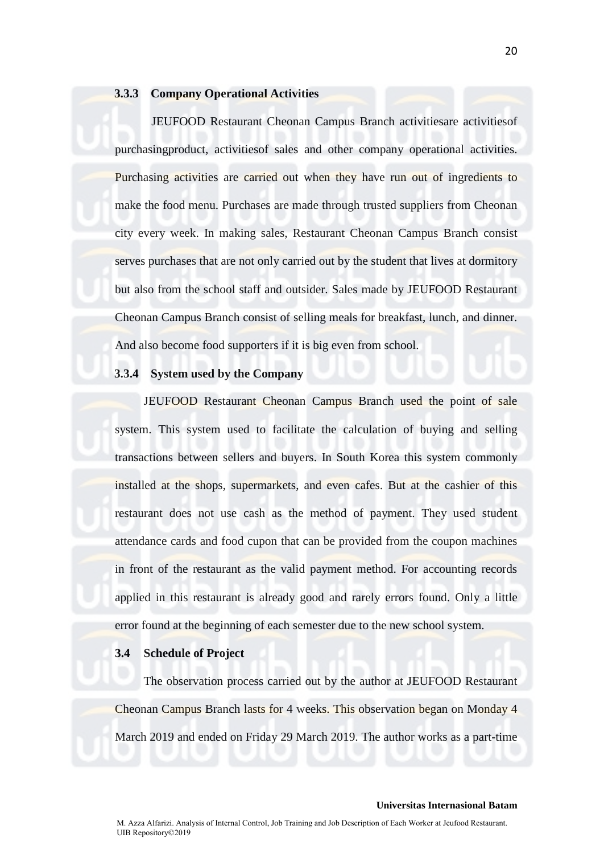# **3.3.3 Company Operational Activities**

JEUFOOD Restaurant Cheonan Campus Branch activitiesare activitiesof purchasingproduct, activitiesof sales and other company operational activities. Purchasing activities are carried out when they have run out of ingredients to make the food menu. Purchases are made through trusted suppliers from Cheonan city every week. In making sales, Restaurant Cheonan Campus Branch consist serves purchases that are not only carried out by the student that lives at dormitory but also from the school staff and outsider. Sales made by JEUFOOD Restaurant Cheonan Campus Branch consist of selling meals for breakfast, lunch, and dinner. And also become food supporters if it is big even from school.

# **3.3.4 System used by the Company**

JEUFOOD Restaurant Cheonan Campus Branch used the point of sale system. This system used to facilitate the calculation of buying and selling transactions between sellers and buyers. In South Korea this system commonly installed at the shops, supermarkets, and even cafes. But at the cashier of this restaurant does not use cash as the method of payment. They used student attendance cards and food cupon that can be provided from the coupon machines in front of the restaurant as the valid payment method. For accounting records applied in this restaurant is already good and rarely errors found. Only a little error found at the beginning of each semester due to the new school system.

# **3.4 Schedule of Project**

The observation process carried out by the author at JEUFOOD Restaurant Cheonan Campus Branch lasts for 4 weeks. This observation began on Monday 4 March 2019 and ended on Friday 29 March 2019. The author works as a part-time